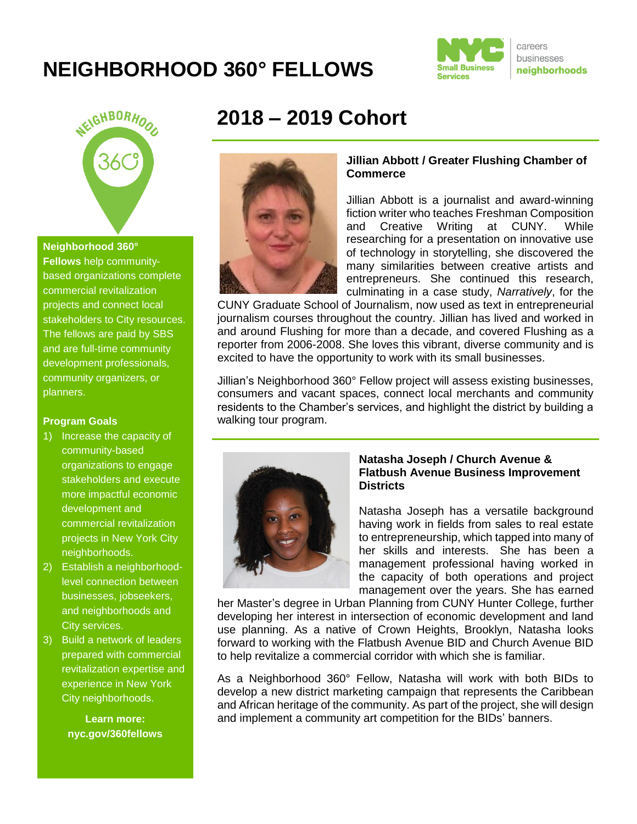# **NEIGHBORHOOD 360° FELLOWS**





#### **Neighborhood 360°**

**Fellows** help communitybased organizations complete commercial revitalization projects and connect local stakeholders to City resources. The fellows are paid by SBS and are full-time community development professionals, community organizers, or planners.

#### **Program Goals**

- 1) Increase the capacity of community-based organizations to engage stakeholders and execute more impactful economic development and commercial revitalization projects in New York City neighborhoods.
- 2) Establish a neighborhoodlevel connection between businesses, jobseekers, and neighborhoods and City services.
- 3) Build a network of leaders prepared with commercial revitalization expertise and experience in New York City neighborhoods.

**Learn more: nyc.gov/360fellows**

# **2018 – 2019 Cohort**



### **Jillian Abbott / Greater Flushing Chamber of Commerce**

Jillian Abbott is a journalist and award-winning fiction writer who teaches Freshman Composition and Creative Writing at CUNY. While researching for a presentation on innovative use of technology in storytelling, she discovered the many similarities between creative artists and entrepreneurs. She continued this research, culminating in a case study, *Narratively*, for the

CUNY Graduate School of Journalism, now used as text in entrepreneurial journalism courses throughout the country. Jillian has lived and worked in and around Flushing for more than a decade, and covered Flushing as a reporter from 2006-2008. She loves this vibrant, diverse community and is excited to have the opportunity to work with its small businesses.

Jillian's Neighborhood 360° Fellow project will assess existing businesses, consumers and vacant spaces, connect local merchants and community residents to the Chamber's services, and highlight the district by building a walking tour program.



#### **Natasha Joseph / Church Avenue & Flatbush Avenue Business Improvement Districts**

Natasha Joseph has a versatile background having work in fields from sales to real estate to entrepreneurship, which tapped into many of her skills and interests. She has been a management professional having worked in the capacity of both operations and project management over the years. She has earned

her Master's degree in Urban Planning from CUNY Hunter College, further developing her interest in intersection of economic development and land use planning. As a native of Crown Heights, Brooklyn, Natasha looks forward to working with the Flatbush Avenue BID and Church Avenue BID to help revitalize a commercial corridor with which she is familiar.

As a Neighborhood 360° Fellow, Natasha will work with both BIDs to develop a new district marketing campaign that represents the Caribbean and African heritage of the community. As part of the project, she will design and implement a community art competition for the BIDs' banners.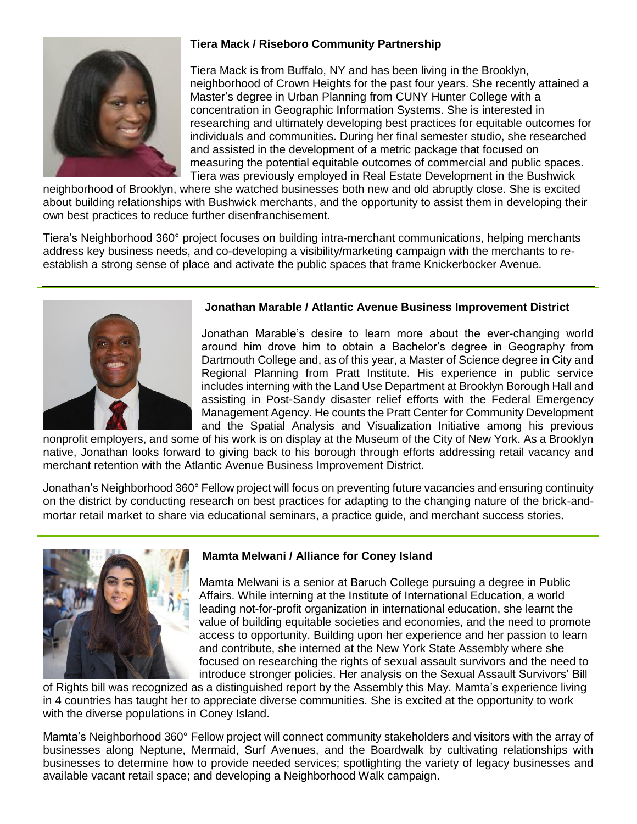

# **Tiera Mack / Riseboro Community Partnership**

Tiera Mack is from Buffalo, NY and has been living in the Brooklyn, neighborhood of Crown Heights for the past four years. She recently attained a Master's degree in Urban Planning from CUNY Hunter College with a concentration in Geographic Information Systems. She is interested in researching and ultimately developing best practices for equitable outcomes for individuals and communities. During her final semester studio, she researched and assisted in the development of a metric package that focused on measuring the potential equitable outcomes of commercial and public spaces. Tiera was previously employed in Real Estate Development in the Bushwick

neighborhood of Brooklyn, where she watched businesses both new and old abruptly close. She is excited about building relationships with Bushwick merchants, and the opportunity to assist them in developing their own best practices to reduce further disenfranchisement.

Tiera's Neighborhood 360° project focuses on building intra-merchant communications, helping merchants address key business needs, and co-developing a visibility/marketing campaign with the merchants to reestablish a strong sense of place and activate the public spaces that frame Knickerbocker Avenue.



### **Jonathan Marable / Atlantic Avenue Business Improvement District**

Jonathan Marable's desire to learn more about the ever-changing world around him drove him to obtain a Bachelor's degree in Geography from Dartmouth College and, as of this year, a Master of Science degree in City and Regional Planning from Pratt Institute. His experience in public service includes interning with the Land Use Department at Brooklyn Borough Hall and assisting in Post-Sandy disaster relief efforts with the Federal Emergency Management Agency. He counts the Pratt Center for Community Development and the Spatial Analysis and Visualization Initiative among his previous

nonprofit employers, and some of his work is on display at the Museum of the City of New York. As a Brooklyn native, Jonathan looks forward to giving back to his borough through efforts addressing retail vacancy and merchant retention with the Atlantic Avenue Business Improvement District.

Jonathan's Neighborhood 360° Fellow project will focus on preventing future vacancies and ensuring continuity on the district by conducting research on best practices for adapting to the changing nature of the brick-andmortar retail market to share via educational seminars, a practice guide, and merchant success stories.



#### **Mamta Melwani / Alliance for Coney Island**

Mamta Melwani is a senior at Baruch College pursuing a degree in Public Affairs. While interning at the Institute of International Education, a world leading not-for-profit organization in international education, she learnt the value of building equitable societies and economies, and the need to promote access to opportunity. Building upon her experience and her passion to learn and contribute, she interned at the New York State Assembly where she focused on researching the rights of sexual assault survivors and the need to introduce stronger policies. Her analysis on the Sexual Assault Survivors' Bill

of Rights bill was recognized as a distinguished report by the Assembly this May. Mamta's experience living in 4 countries has taught her to appreciate diverse communities. She is excited at the opportunity to work with the diverse populations in Coney Island.

Mamta's Neighborhood 360° Fellow project will connect community stakeholders and visitors with the array of businesses along Neptune, Mermaid, Surf Avenues, and the Boardwalk by cultivating relationships with businesses to determine how to provide needed services; spotlighting the variety of legacy businesses and available vacant retail space; and developing a Neighborhood Walk campaign.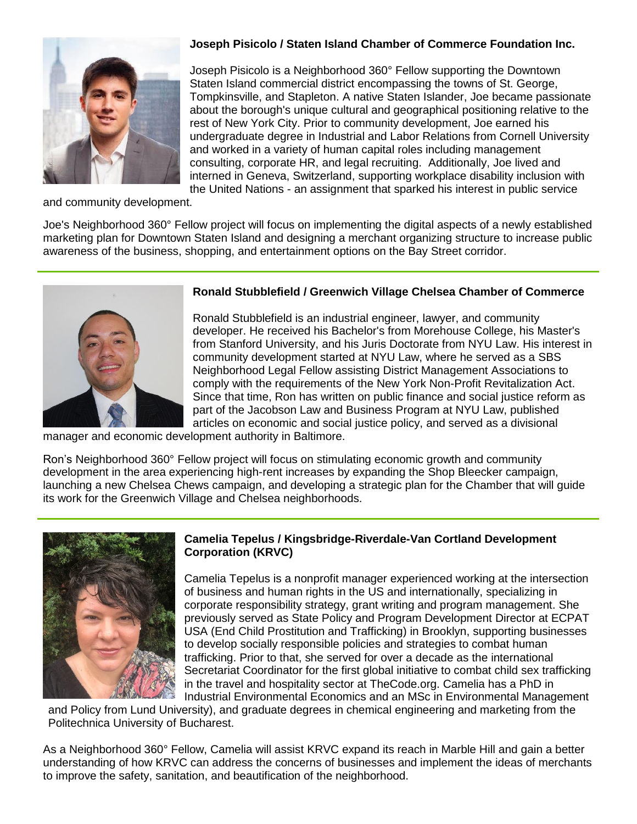

# **Joseph Pisicolo / Staten Island Chamber of Commerce Foundation Inc.**

Joseph Pisicolo is a Neighborhood 360° Fellow supporting the Downtown Staten Island commercial district encompassing the towns of St. George, Tompkinsville, and Stapleton. A native Staten Islander, Joe became passionate about the borough's unique cultural and geographical positioning relative to the rest of New York City. Prior to community development, Joe earned his undergraduate degree in Industrial and Labor Relations from Cornell University and worked in a variety of human capital roles including management consulting, corporate HR, and legal recruiting. Additionally, Joe lived and interned in Geneva, Switzerland, supporting workplace disability inclusion with the United Nations - an assignment that sparked his interest in public service

and community development.

Joe's Neighborhood 360° Fellow project will focus on implementing the digital aspects of a newly established marketing plan for Downtown Staten Island and designing a merchant organizing structure to increase public awareness of the business, shopping, and entertainment options on the Bay Street corridor.



## **Ronald Stubblefield / Greenwich Village Chelsea Chamber of Commerce**

Ronald Stubblefield is an industrial engineer, lawyer, and community developer. He received his Bachelor's from Morehouse College, his Master's from Stanford University, and his Juris Doctorate from NYU Law. His interest in community development started at NYU Law, where he served as a SBS Neighborhood Legal Fellow assisting District Management Associations to comply with the requirements of the New York Non-Profit Revitalization Act. Since that time, Ron has written on public finance and social justice reform as part of the Jacobson Law and Business Program at NYU Law, published articles on economic and social justice policy, and served as a divisional

manager and economic development authority in Baltimore.

Ron's Neighborhood 360° Fellow project will focus on stimulating economic growth and community development in the area experiencing high-rent increases by expanding the Shop Bleecker campaign, launching a new Chelsea Chews campaign, and developing a strategic plan for the Chamber that will guide its work for the Greenwich Village and Chelsea neighborhoods.



#### **Camelia Tepelus / Kingsbridge-Riverdale-Van Cortland Development Corporation (KRVC)**

Camelia Tepelus is a nonprofit manager experienced working at the intersection of business and human rights in the US and internationally, specializing in corporate responsibility strategy, grant writing and program management. She previously served as State Policy and Program Development Director at ECPAT USA (End Child Prostitution and Trafficking) in Brooklyn, supporting businesses to develop socially responsible policies and strategies to combat human trafficking. Prior to that, she served for over a decade as the international Secretariat Coordinator for the first global initiative to combat child sex trafficking in the travel and hospitality sector at TheCode.org. Camelia has a PhD in Industrial Environmental Economics and an MSc in Environmental Management

and Policy from Lund University), and graduate degrees in chemical engineering and marketing from the Politechnica University of Bucharest.

As a Neighborhood 360° Fellow, Camelia will assist KRVC expand its reach in Marble Hill and gain a better understanding of how KRVC can address the concerns of businesses and implement the ideas of merchants to improve the safety, sanitation, and beautification of the neighborhood.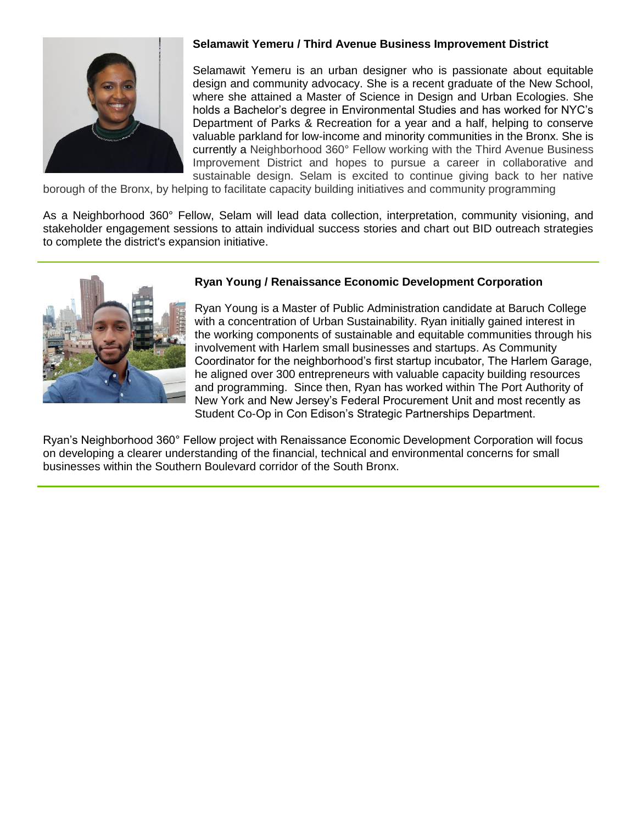

## **Selamawit Yemeru / Third Avenue Business Improvement District**

Selamawit Yemeru is an urban designer who is passionate about equitable design and community advocacy. She is a recent graduate of the New School, where she attained a Master of Science in Design and Urban Ecologies. She holds a Bachelor's degree in Environmental Studies and has worked for NYC's Department of Parks & Recreation for a year and a half, helping to conserve valuable parkland for low-income and minority communities in the Bronx. She is currently a Neighborhood 360° Fellow working with the Third Avenue Business Improvement District and hopes to pursue a career in collaborative and sustainable design. Selam is excited to continue giving back to her native

borough of the Bronx, by helping to facilitate capacity building initiatives and community programming

As a Neighborhood 360° Fellow, Selam will lead data collection, interpretation, community visioning, and stakeholder engagement sessions to attain individual success stories and chart out BID outreach strategies to complete the district's expansion initiative.



#### **Ryan Young / Renaissance Economic Development Corporation**

Ryan Young is a Master of Public Administration candidate at Baruch College with a concentration of Urban Sustainability. Ryan initially gained interest in the working components of sustainable and equitable communities through his involvement with Harlem small businesses and startups. As Community Coordinator for the neighborhood's first startup incubator, The Harlem Garage, he aligned over 300 entrepreneurs with valuable capacity building resources and programming. Since then, Ryan has worked within The Port Authority of New York and New Jersey's Federal Procurement Unit and most recently as Student Co-Op in Con Edison's Strategic Partnerships Department.

Ryan's Neighborhood 360° Fellow project with Renaissance Economic Development Corporation will focus on developing a clearer understanding of the financial, technical and environmental concerns for small businesses within the Southern Boulevard corridor of the South Bronx.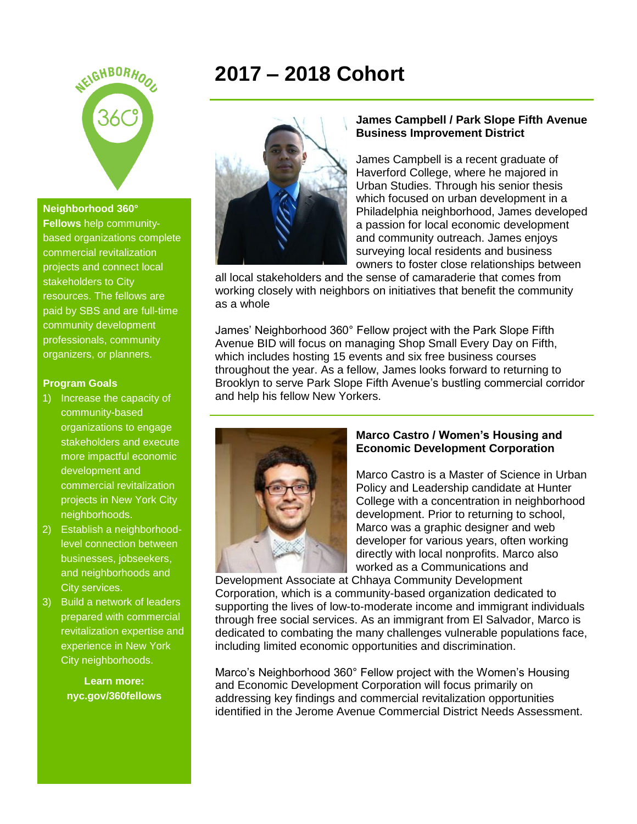

#### **Neighborhood 360°**

**Fellows** help communitybased organizations complete commercial revitalization projects and connect local stakeholders to City resources. The fellows are paid by SBS and are full-time community development professionals, community organizers, or planners.

#### **Program Goals**

- 1) Increase the capacity of community-based organizations to engage stakeholders and execute more impactful economic development and commercial revitalization projects in New York City neighborhoods.
- 2) Establish a neighborhoodlevel connection between businesses, jobseekers, and neighborhoods and City services.
- 3) Build a network of leaders prepared with commercial revitalization expertise and experience in New York City neighborhoods.

**Learn more: nyc.gov/360fellows**

# **2017 – 2018 Cohort**



#### **James Campbell / Park Slope Fifth Avenue Business Improvement District**

James Campbell is a recent graduate of Haverford College, where he majored in Urban Studies. Through his senior thesis which focused on urban development in a Philadelphia neighborhood, James developed a passion for local economic development and community outreach. James enjoys surveying local residents and business owners to foster close relationships between

all local stakeholders and the sense of camaraderie that comes from working closely with neighbors on initiatives that benefit the community as a whole

James' Neighborhood 360° Fellow project with the Park Slope Fifth Avenue BID will focus on managing Shop Small Every Day on Fifth, which includes hosting 15 events and six free business courses throughout the year. As a fellow, James looks forward to returning to Brooklyn to serve Park Slope Fifth Avenue's bustling commercial corridor and help his fellow New Yorkers.



#### **Marco Castro / Women's Housing and Economic Development Corporation**

Marco Castro is a Master of Science in Urban Policy and Leadership candidate at Hunter College with a concentration in neighborhood development. Prior to returning to school, Marco was a graphic designer and web developer for various years, often working directly with local nonprofits. Marco also worked as a Communications and

Development Associate at Chhaya Community Development Corporation, which is a community-based organization dedicated to supporting the lives of low-to-moderate income and immigrant individuals through free social services. As an immigrant from El Salvador, Marco is dedicated to combating the many challenges vulnerable populations face, including limited economic opportunities and discrimination.

Marco's Neighborhood 360° Fellow project with the Women's Housing and Economic Development Corporation will focus primarily on addressing key findings and commercial revitalization opportunities identified in the Jerome Avenue Commercial District Needs Assessment.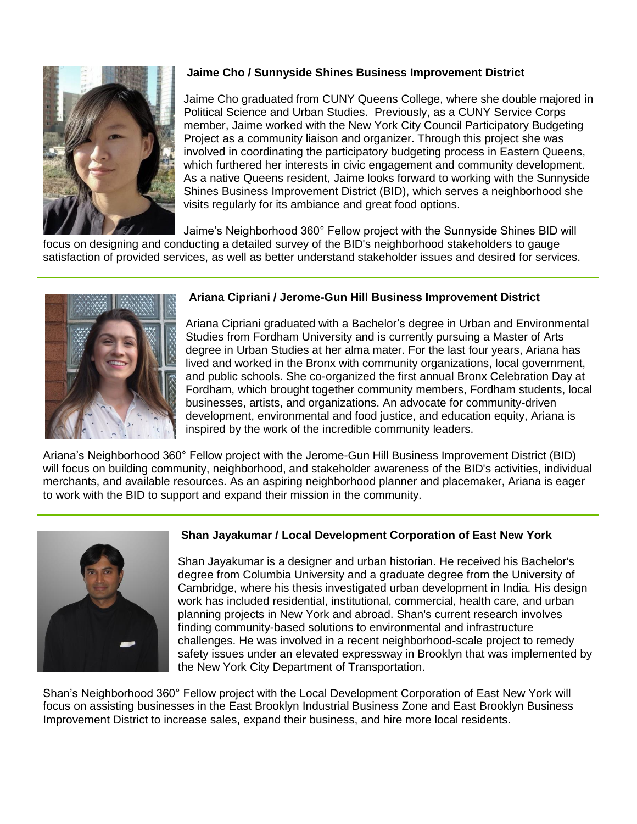

# **Jaime Cho / Sunnyside Shines Business Improvement District**

Jaime Cho graduated from CUNY Queens College, where she double majored in Political Science and Urban Studies. Previously, as a CUNY Service Corps member, Jaime worked with the New York City Council Participatory Budgeting Project as a community liaison and organizer. Through this project she was involved in coordinating the participatory budgeting process in Eastern Queens, which furthered her interests in civic engagement and community development. As a native Queens resident, Jaime looks forward to working with the Sunnyside Shines Business Improvement District (BID), which serves a neighborhood she visits regularly for its ambiance and great food options.

Jaime's Neighborhood 360° Fellow project with the Sunnyside Shines BID will

focus on designing and conducting a detailed survey of the BID's neighborhood stakeholders to gauge satisfaction of provided services, as well as better understand stakeholder issues and desired for services.



## **Ariana Cipriani / Jerome-Gun Hill Business Improvement District**

Ariana Cipriani graduated with a Bachelor's degree in Urban and Environmental Studies from Fordham University and is currently pursuing a Master of Arts degree in Urban Studies at her alma mater. For the last four years, Ariana has lived and worked in the Bronx with community organizations, local government, and public schools. She co-organized the first annual Bronx Celebration Day at Fordham, which brought together community members, Fordham students, local businesses, artists, and organizations. An advocate for community-driven development, environmental and food justice, and education equity, Ariana is inspired by the work of the incredible community leaders.

Ariana's Neighborhood 360° Fellow project with the Jerome-Gun Hill Business Improvement District (BID) will focus on building community, neighborhood, and stakeholder awareness of the BID's activities, individual merchants, and available resources. As an aspiring neighborhood planner and placemaker, Ariana is eager to work with the BID to support and expand their mission in the community.



### **Shan Jayakumar / Local Development Corporation of East New York**

Shan Jayakumar is a designer and urban historian. He received his Bachelor's degree from Columbia University and a graduate degree from the University of Cambridge, where his thesis investigated urban development in India. His design work has included residential, institutional, commercial, health care, and urban planning projects in New York and abroad. Shan's current research involves finding community-based solutions to environmental and infrastructure challenges. He was involved in a recent neighborhood-scale project to remedy safety issues under an elevated expressway in Brooklyn that was implemented by the New York City Department of Transportation.

Shan's Neighborhood 360° Fellow project with the Local Development Corporation of East New York will focus on assisting businesses in the East Brooklyn Industrial Business Zone and East Brooklyn Business Improvement District to increase sales, expand their business, and hire more local residents.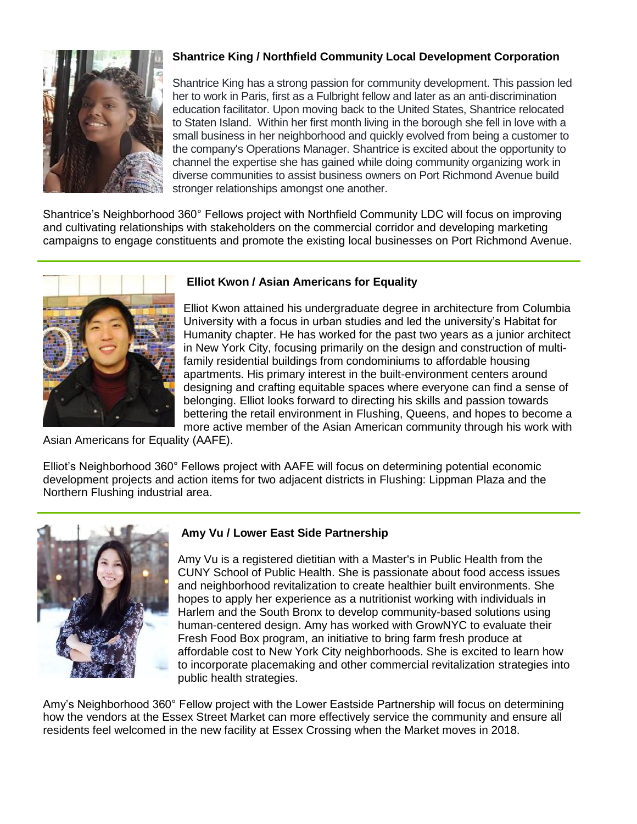

# **Shantrice King / Northfield Community Local Development Corporation**

Shantrice King has a strong passion for community development. This passion led her to work in Paris, first as a Fulbright fellow and later as an anti-discrimination education facilitator. Upon moving back to the United States, Shantrice relocated to Staten Island. Within her first month living in the borough she fell in love with a small business in her neighborhood and quickly evolved from being a customer to the company's Operations Manager. Shantrice is excited about the opportunity to channel the expertise she has gained while doing community organizing work in diverse communities to assist business owners on Port Richmond Avenue build stronger relationships amongst one another.

Shantrice's Neighborhood 360° Fellows project with Northfield Community LDC will focus on improving and cultivating relationships with stakeholders on the commercial corridor and developing marketing campaigns to engage constituents and promote the existing local businesses on Port Richmond Avenue.



## **Elliot Kwon / Asian Americans for Equality**

Elliot Kwon attained his undergraduate degree in architecture from Columbia University with a focus in urban studies and led the university's Habitat for Humanity chapter. He has worked for the past two years as a junior architect in New York City, focusing primarily on the design and construction of multifamily residential buildings from condominiums to affordable housing apartments. His primary interest in the built-environment centers around designing and crafting equitable spaces where everyone can find a sense of belonging. Elliot looks forward to directing his skills and passion towards bettering the retail environment in Flushing, Queens, and hopes to become a more active member of the Asian American community through his work with

Asian Americans for Equality (AAFE).

Elliot's Neighborhood 360° Fellows project with AAFE will focus on determining potential economic development projects and action items for two adjacent districts in Flushing: Lippman Plaza and the Northern Flushing industrial area.



# **Amy Vu / Lower East Side Partnership**

Amy Vu is a registered dietitian with a Master's in Public Health from the CUNY School of Public Health. She is passionate about food access issues and neighborhood revitalization to create healthier built environments. She hopes to apply her experience as a nutritionist working with individuals in Harlem and the South Bronx to develop community-based solutions using human-centered design. Amy has worked with GrowNYC to evaluate their Fresh Food Box program, an initiative to bring farm fresh produce at affordable cost to New York City neighborhoods. She is excited to learn how to incorporate placemaking and other commercial revitalization strategies into public health strategies.

Amy's Neighborhood 360° Fellow project with the Lower Eastside Partnership will focus on determining how the vendors at the Essex Street Market can more effectively service the community and ensure all residents feel welcomed in the new facility at Essex Crossing when the Market moves in 2018.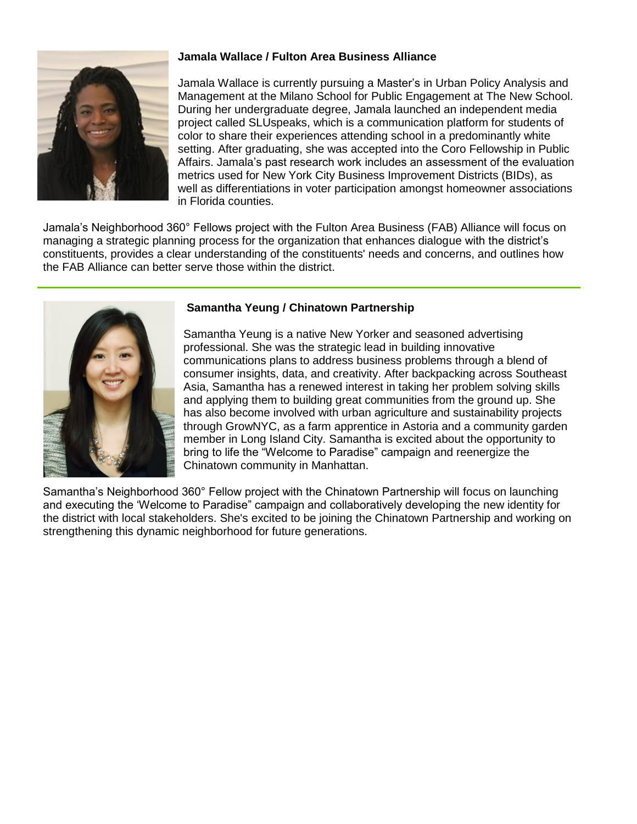

## **Jamala Wallace / Fulton Area Business Alliance**

Jamala Wallace is currently pursuing a Master's in Urban Policy Analysis and Management at the Milano School for Public Engagement at The New School. During her undergraduate degree, Jamala launched an independent media project called SLUspeaks, which is a communication platform for students of color to share their experiences attending school in a predominantly white setting. After graduating, she was accepted into the Coro Fellowship in Public Affairs. Jamala's past research work includes an assessment of the evaluation metrics used for New York City Business Improvement Districts (BIDs), as well as differentiations in voter participation amongst homeowner associations in Florida counties.

Jamala's Neighborhood 360° Fellows project with the Fulton Area Business (FAB) Alliance will focus on managing a strategic planning process for the organization that enhances dialogue with the district's constituents, provides a clear understanding of the constituents' needs and concerns, and outlines how the FAB Alliance can better serve those within the district.



### **Samantha Yeung / Chinatown Partnership**

Samantha Yeung is a native New Yorker and seasoned advertising professional. She was the strategic lead in building innovative communications plans to address business problems through a blend of consumer insights, data, and creativity. After backpacking across Southeast Asia, Samantha has a renewed interest in taking her problem solving skills and applying them to building great communities from the ground up. She has also become involved with urban agriculture and sustainability projects through GrowNYC, as a farm apprentice in Astoria and a community garden member in Long Island City. Samantha is excited about the opportunity to bring to life the "Welcome to Paradise" campaign and reenergize the Chinatown community in Manhattan.

Samantha's Neighborhood 360° Fellow project with the Chinatown Partnership will focus on launching and executing the 'Welcome to Paradise" campaign and collaboratively developing the new identity for the district with local stakeholders. She's excited to be joining the Chinatown Partnership and working on strengthening this dynamic neighborhood for future generations.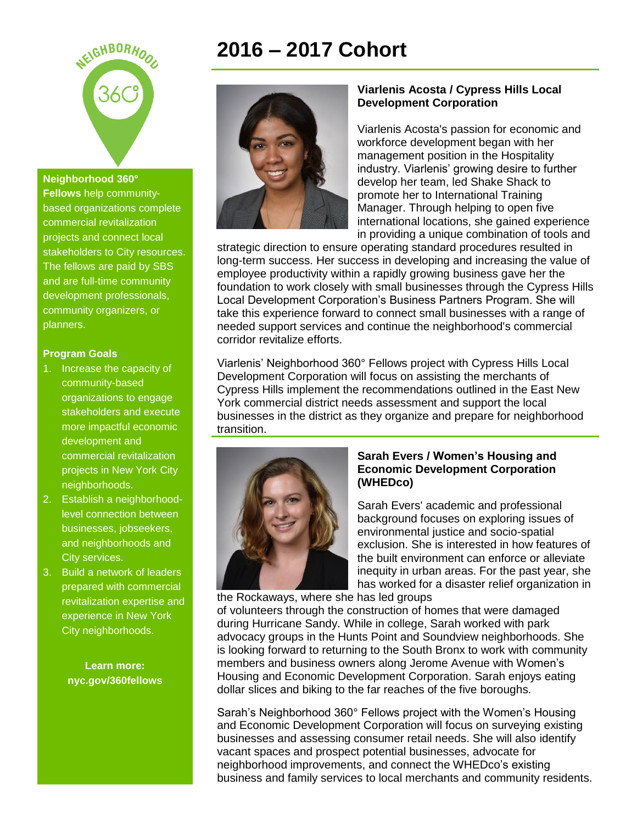

#### **Neighborhood 360°**

**Fellows** help communitybased organizations complete commercial revitalization projects and connect local stakeholders to City resources. The fellows are paid by SBS and are full-time community development professionals, community organizers, or planners.

#### **Program Goals**

- 1. Increase the capacity of community-based organizations to engage stakeholders and execute more impactful economic development and commercial revitalization projects in New York City neighborhoods.
- 2. Establish a neighborhoodlevel connection between businesses, jobseekers, and neighborhoods and City services.
- 3. Build a network of leaders prepared with commercial revitalization expertise and experience in New York City neighborhoods.

**Learn more: nyc.gov/360fellows**

# **2016 – 2017 Cohort**



#### **Viarlenis Acosta / Cypress Hills Local Development Corporation**

Viarlenis Acosta's passion for economic and workforce development began with her management position in the Hospitality industry. Viarlenis' growing desire to further develop her team, led Shake Shack to promote her to International Training Manager. Through helping to open five international locations, she gained experience in providing a unique combination of tools and

strategic direction to ensure operating standard procedures resulted in long-term success. Her success in developing and increasing the value of employee productivity within a rapidly growing business gave her the foundation to work closely with small businesses through the Cypress Hills Local Development Corporation's Business Partners Program. She will take this experience forward to connect small businesses with a range of needed support services and continue the neighborhood's commercial corridor revitalize efforts.

Viarlenis' Neighborhood 360° Fellows project with Cypress Hills Local Development Corporation will focus on assisting the merchants of Cypress Hills implement the recommendations outlined in the East New York commercial district needs assessment and support the local businesses in the district as they organize and prepare for neighborhood transition.



#### **Sarah Evers / Women's Housing and Economic Development Corporation (WHEDco)**

Sarah Evers' academic and professional background focuses on exploring issues of environmental justice and socio-spatial exclusion. She is interested in how features of the built environment can enforce or alleviate inequity in urban areas. For the past year, she has worked for a disaster relief organization in

the Rockaways, where she has led groups

of volunteers through the construction of homes that were damaged during Hurricane Sandy. While in college, Sarah worked with park advocacy groups in the Hunts Point and Soundview neighborhoods. She is looking forward to returning to the South Bronx to work with community members and business owners along Jerome Avenue with Women's Housing and Economic Development Corporation. Sarah enjoys eating dollar slices and biking to the far reaches of the five boroughs.

Sarah's Neighborhood 360° Fellows project with the Women's Housing and Economic Development Corporation will focus on surveying existing businesses and assessing consumer retail needs. She will also identify vacant spaces and prospect potential businesses, advocate for neighborhood improvements, and connect the WHEDco's existing business and family services to local merchants and community residents.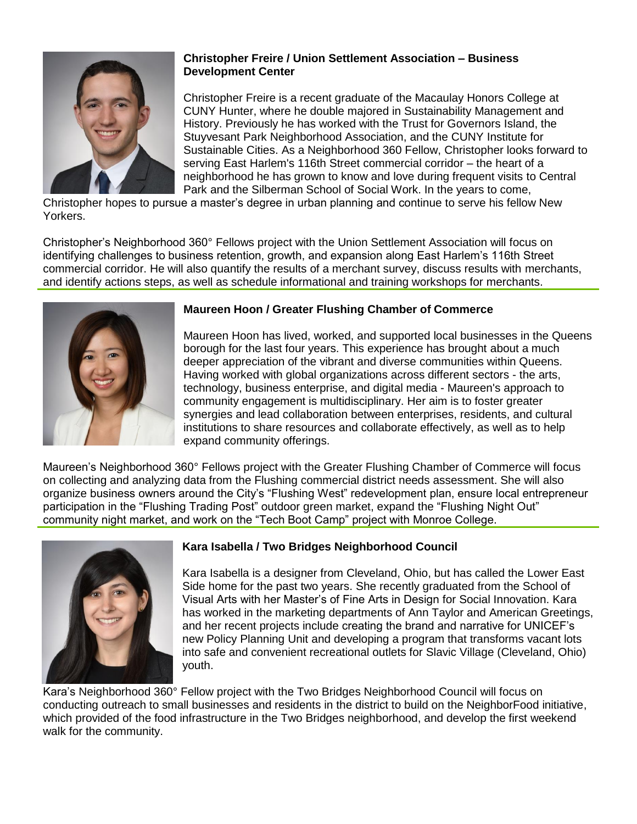

## **Christopher Freire / Union Settlement Association – Business Development Center**

Christopher Freire is a recent graduate of the Macaulay Honors College at CUNY Hunter, where he double majored in Sustainability Management and History. Previously he has worked with the Trust for Governors Island, the Stuyvesant Park Neighborhood Association, and the CUNY Institute for Sustainable Cities. As a Neighborhood 360 Fellow, Christopher looks forward to serving East Harlem's 116th Street commercial corridor – the heart of a neighborhood he has grown to know and love during frequent visits to Central Park and the Silberman School of Social Work. In the years to come,

Christopher hopes to pursue a master's degree in urban planning and continue to serve his fellow New Yorkers.

Christopher's Neighborhood 360° Fellows project with the Union Settlement Association will focus on identifying challenges to business retention, growth, and expansion along East Harlem's 116th Street commercial corridor. He will also quantify the results of a merchant survey, discuss results with merchants, and identify actions steps, as well as schedule informational and training workshops for merchants.



## **Maureen Hoon / Greater Flushing Chamber of Commerce**

Maureen Hoon has lived, worked, and supported local businesses in the Queens borough for the last four years. This experience has brought about a much deeper appreciation of the vibrant and diverse communities within Queens. Having worked with global organizations across different sectors - the arts, technology, business enterprise, and digital media - Maureen's approach to community engagement is multidisciplinary. Her aim is to foster greater synergies and lead collaboration between enterprises, residents, and cultural institutions to share resources and collaborate effectively, as well as to help expand community offerings.

Maureen's Neighborhood 360° Fellows project with the Greater Flushing Chamber of Commerce will focus on collecting and analyzing data from the Flushing commercial district needs assessment. She will also organize business owners around the City's "Flushing West" redevelopment plan, ensure local entrepreneur participation in the "Flushing Trading Post" outdoor green market, expand the "Flushing Night Out" community night market, and work on the "Tech Boot Camp" project with Monroe College.



# **Kara Isabella / Two Bridges Neighborhood Council**

Kara Isabella is a designer from Cleveland, Ohio, but has called the Lower East Side home for the past two years. She recently graduated from the School of Visual Arts with her Master's of Fine Arts in Design for Social Innovation. Kara has worked in the marketing departments of Ann Taylor and American Greetings, and her recent projects include creating the brand and narrative for UNICEF's new Policy Planning Unit and developing a program that transforms vacant lots into safe and convenient recreational outlets for Slavic Village (Cleveland, Ohio) youth.

Kara's Neighborhood 360° Fellow project with the Two Bridges Neighborhood Council will focus on conducting outreach to small businesses and residents in the district to build on the NeighborFood initiative, which provided of the food infrastructure in the Two Bridges neighborhood, and develop the first weekend walk for the community.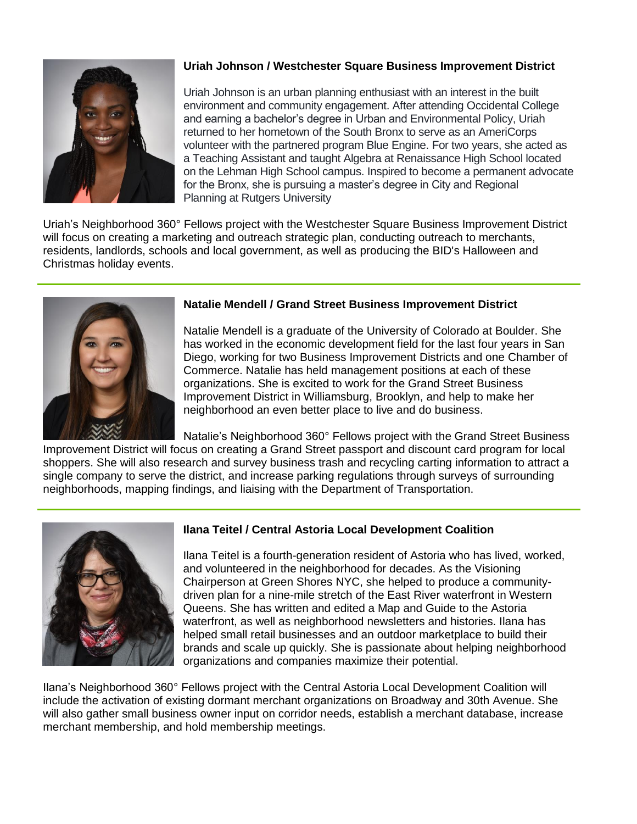

# **Uriah Johnson / Westchester Square Business Improvement District**

Uriah Johnson is an urban planning enthusiast with an interest in the built environment and community engagement. After attending Occidental College and earning a bachelor's degree in Urban and Environmental Policy, Uriah returned to her hometown of the South Bronx to serve as an AmeriCorps volunteer with the partnered program Blue Engine. For two years, she acted as a Teaching Assistant and taught Algebra at Renaissance High School located on the Lehman High School campus. Inspired to become a permanent advocate for the Bronx, she is pursuing a master's degree in City and Regional Planning at Rutgers University

Uriah's Neighborhood 360° Fellows project with the Westchester Square Business Improvement District will focus on creating a marketing and outreach strategic plan, conducting outreach to merchants, residents, landlords, schools and local government, as well as producing the BID's Halloween and Christmas holiday events.



# **Natalie Mendell / Grand Street Business Improvement District**

Natalie Mendell is a graduate of the University of Colorado at Boulder. She has worked in the economic development field for the last four years in San Diego, working for two Business Improvement Districts and one Chamber of Commerce. Natalie has held management positions at each of these organizations. She is excited to work for the Grand Street Business Improvement District in Williamsburg, Brooklyn, and help to make her neighborhood an even better place to live and do business.

Natalie's Neighborhood 360° Fellows project with the Grand Street Business

Improvement District will focus on creating a Grand Street passport and discount card program for local shoppers. She will also research and survey business trash and recycling carting information to attract a single company to serve the district, and increase parking regulations through surveys of surrounding neighborhoods, mapping findings, and liaising with the Department of Transportation.



# **Ilana Teitel / Central Astoria Local Development Coalition**

Ilana Teitel is a fourth-generation resident of Astoria who has lived, worked, and volunteered in the neighborhood for decades. As the Visioning Chairperson at Green Shores NYC, she helped to produce a communitydriven plan for a nine-mile stretch of the East River waterfront in Western Queens. She has written and edited a Map and Guide to the Astoria waterfront, as well as neighborhood newsletters and histories. Ilana has helped small retail businesses and an outdoor marketplace to build their brands and scale up quickly. She is passionate about helping neighborhood organizations and companies maximize their potential.

Ilana's Neighborhood 360° Fellows project with the Central Astoria Local Development Coalition will include the activation of existing dormant merchant organizations on Broadway and 30th Avenue. She will also gather small business owner input on corridor needs, establish a merchant database, increase merchant membership, and hold membership meetings.